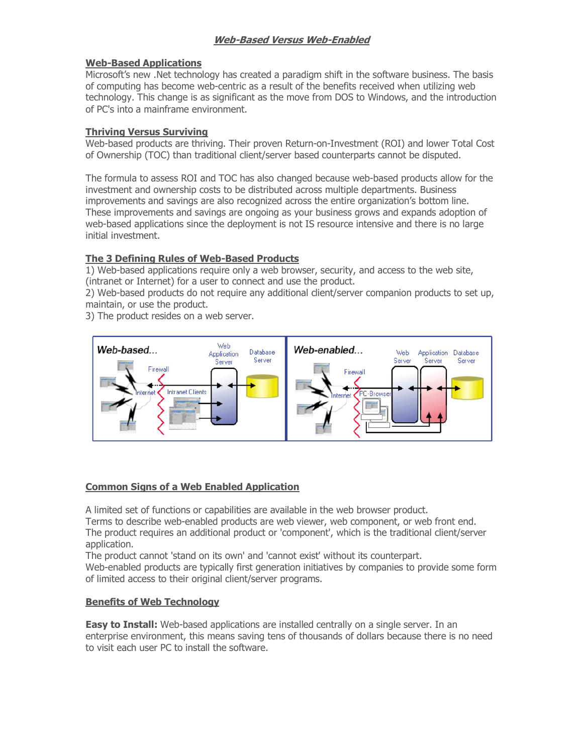# Web-Based Versus Web-Enabled

### Web-Based Applications

Microsoft's new .Net technology has created a paradigm shift in the software business. The basis of computing has become web-centric as a result of the benefits received when utilizing web technology. This change is as significant as the move from DOS to Windows, and the introduction of PC's into a mainframe environment.

## Thriving Versus Surviving

Web-based products are thriving. Their proven Return-on-Investment (ROI) and lower Total Cost of Ownership (TOC) than traditional client/server based counterparts cannot be disputed.

The formula to assess ROI and TOC has also changed because web-based products allow for the investment and ownership costs to be distributed across multiple departments. Business improvements and savings are also recognized across the entire organization's bottom line. These improvements and savings are ongoing as your business grows and expands adoption of web-based applications since the deployment is not IS resource intensive and there is no large initial investment.

## The 3 Defining Rules of Web-Based Products

1) Web-based applications require only a web browser, security, and access to the web site, (intranet or Internet) for a user to connect and use the product.

2) Web-based products do not require any additional client/server companion products to set up, maintain, or use the product.

3) The product resides on a web server.



## Common Signs of a Web Enabled Application

A limited set of functions or capabilities are available in the web browser product.

Terms to describe web-enabled products are web viewer, web component, or web front end. The product requires an additional product or 'component', which is the traditional client/server application.

The product cannot 'stand on its own' and 'cannot exist' without its counterpart.

Web-enabled products are typically first generation initiatives by companies to provide some form of limited access to their original client/server programs.

## Benefits of Web Technology

**Easy to Install:** Web-based applications are installed centrally on a single server. In an enterprise environment, this means saving tens of thousands of dollars because there is no need to visit each user PC to install the software.